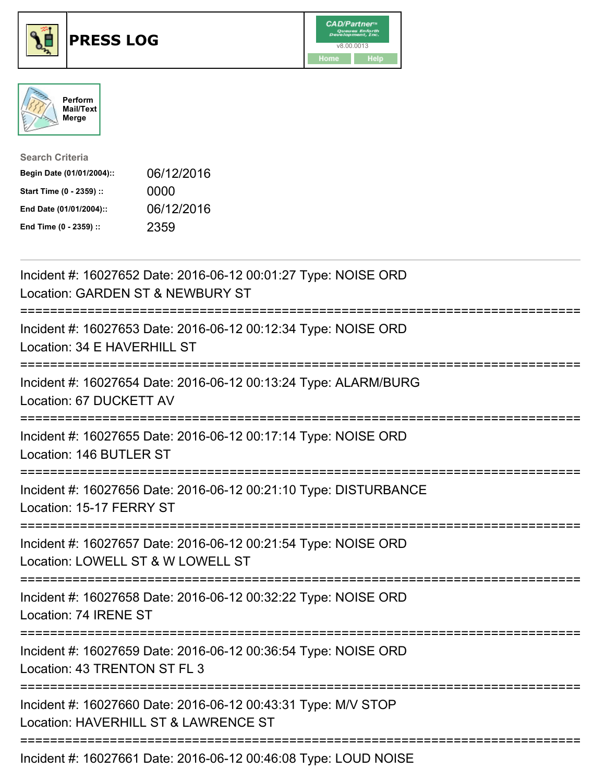





| <b>Search Criteria</b>    |            |
|---------------------------|------------|
| Begin Date (01/01/2004):: | 06/12/2016 |
| Start Time (0 - 2359) ::  | 0000       |
| End Date (01/01/2004)::   | 06/12/2016 |
| End Time (0 - 2359) ::    | 2359       |

| Incident #: 16027652 Date: 2016-06-12 00:01:27 Type: NOISE ORD<br>Location: GARDEN ST & NEWBURY ST<br>------------                     |
|----------------------------------------------------------------------------------------------------------------------------------------|
| Incident #: 16027653 Date: 2016-06-12 00:12:34 Type: NOISE ORD<br>Location: 34 E HAVERHILL ST                                          |
| Incident #: 16027654 Date: 2016-06-12 00:13:24 Type: ALARM/BURG<br>Location: 67 DUCKETT AV                                             |
| Incident #: 16027655 Date: 2016-06-12 00:17:14 Type: NOISE ORD<br>Location: 146 BUTLER ST<br>------------------                        |
| Incident #: 16027656 Date: 2016-06-12 00:21:10 Type: DISTURBANCE<br>Location: 15-17 FERRY ST<br>====================================== |
| Incident #: 16027657 Date: 2016-06-12 00:21:54 Type: NOISE ORD<br>Location: LOWELL ST & W LOWELL ST<br>==========================      |
| Incident #: 16027658 Date: 2016-06-12 00:32:22 Type: NOISE ORD<br>Location: 74 IRENE ST                                                |
| Incident #: 16027659 Date: 2016-06-12 00:36:54 Type: NOISE ORD<br>Location: 43 TRENTON ST FL 3                                         |
| Incident #: 16027660 Date: 2016-06-12 00:43:31 Type: M/V STOP<br>Location: HAVERHILL ST & LAWRENCE ST                                  |
| ----------------------------------<br>Incident #: 16027661 Date: 2016-06-12 00:46:08 Type: LOUD NOISE                                  |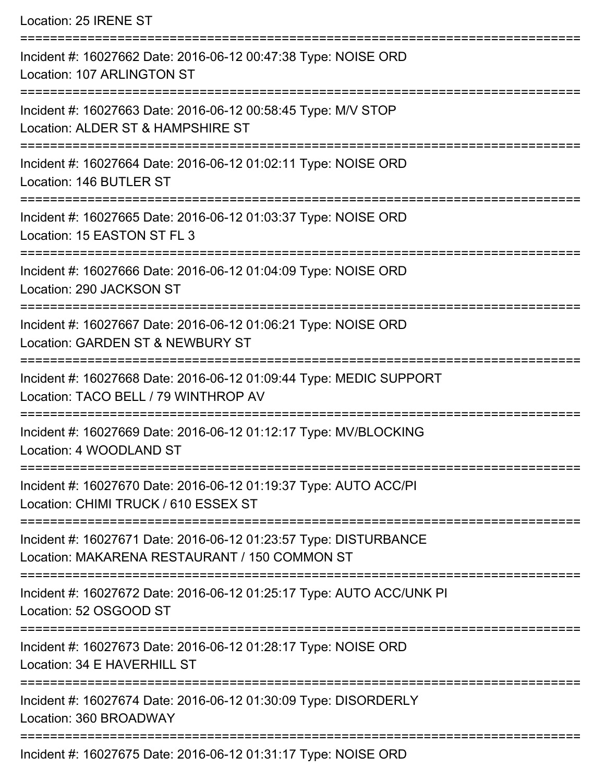| Location: 25 IRENE ST                                                                                                                        |
|----------------------------------------------------------------------------------------------------------------------------------------------|
| Incident #: 16027662 Date: 2016-06-12 00:47:38 Type: NOISE ORD<br>Location: 107 ARLINGTON ST                                                 |
| Incident #: 16027663 Date: 2016-06-12 00:58:45 Type: M/V STOP<br>Location: ALDER ST & HAMPSHIRE ST<br>====================================== |
| Incident #: 16027664 Date: 2016-06-12 01:02:11 Type: NOISE ORD<br>Location: 146 BUTLER ST<br>-----------------------------------             |
| Incident #: 16027665 Date: 2016-06-12 01:03:37 Type: NOISE ORD<br>Location: 15 EASTON ST FL 3                                                |
| Incident #: 16027666 Date: 2016-06-12 01:04:09 Type: NOISE ORD<br>Location: 290 JACKSON ST                                                   |
| Incident #: 16027667 Date: 2016-06-12 01:06:21 Type: NOISE ORD<br>Location: GARDEN ST & NEWBURY ST                                           |
| Incident #: 16027668 Date: 2016-06-12 01:09:44 Type: MEDIC SUPPORT<br>Location: TACO BELL / 79 WINTHROP AV                                   |
| Incident #: 16027669 Date: 2016-06-12 01:12:17 Type: MV/BLOCKING<br>Location: 4 WOODLAND ST                                                  |
| Incident #: 16027670 Date: 2016-06-12 01:19:37 Type: AUTO ACC/PI<br>Location: CHIMI TRUCK / 610 ESSEX ST                                     |
| Incident #: 16027671 Date: 2016-06-12 01:23:57 Type: DISTURBANCE<br>Location: MAKARENA RESTAURANT / 150 COMMON ST                            |
| Incident #: 16027672 Date: 2016-06-12 01:25:17 Type: AUTO ACC/UNK PI<br>Location: 52 OSGOOD ST                                               |
| Incident #: 16027673 Date: 2016-06-12 01:28:17 Type: NOISE ORD<br>Location: 34 E HAVERHILL ST                                                |
| Incident #: 16027674 Date: 2016-06-12 01:30:09 Type: DISORDERLY<br>Location: 360 BROADWAY                                                    |
| Incident #: 16027675 Date: 2016-06-12 01:31:17 Type: NOISE ORD                                                                               |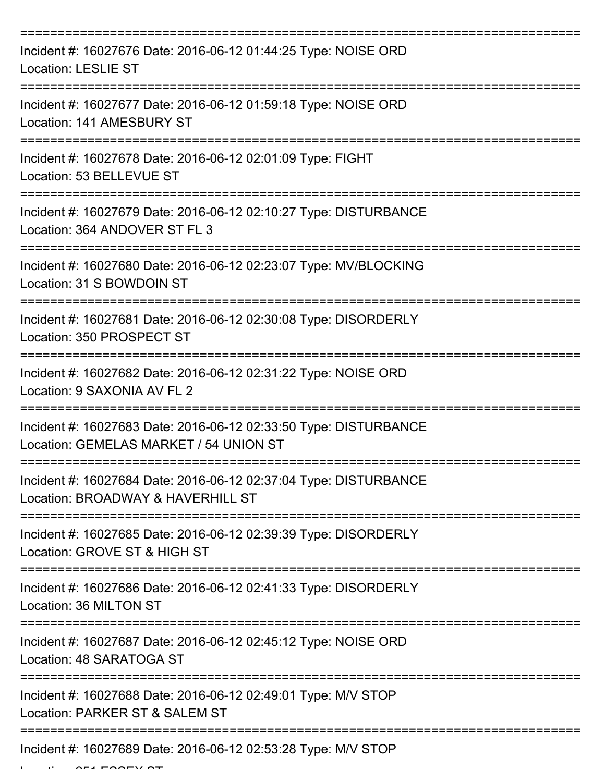| Incident #: 16027676 Date: 2016-06-12 01:44:25 Type: NOISE ORD<br><b>Location: LESLIE ST</b>               |
|------------------------------------------------------------------------------------------------------------|
| Incident #: 16027677 Date: 2016-06-12 01:59:18 Type: NOISE ORD<br>Location: 141 AMESBURY ST                |
| Incident #: 16027678 Date: 2016-06-12 02:01:09 Type: FIGHT<br>Location: 53 BELLEVUE ST                     |
| Incident #: 16027679 Date: 2016-06-12 02:10:27 Type: DISTURBANCE<br>Location: 364 ANDOVER ST FL 3          |
| Incident #: 16027680 Date: 2016-06-12 02:23:07 Type: MV/BLOCKING<br>Location: 31 S BOWDOIN ST              |
| Incident #: 16027681 Date: 2016-06-12 02:30:08 Type: DISORDERLY<br>Location: 350 PROSPECT ST               |
| Incident #: 16027682 Date: 2016-06-12 02:31:22 Type: NOISE ORD<br>Location: 9 SAXONIA AV FL 2              |
| Incident #: 16027683 Date: 2016-06-12 02:33:50 Type: DISTURBANCE<br>Location: GEMELAS MARKET / 54 UNION ST |
| Incident #: 16027684 Date: 2016-06-12 02:37:04 Type: DISTURBANCE<br>Location: BROADWAY & HAVERHILL ST      |
| Incident #: 16027685 Date: 2016-06-12 02:39:39 Type: DISORDERLY<br>Location: GROVE ST & HIGH ST            |
| Incident #: 16027686 Date: 2016-06-12 02:41:33 Type: DISORDERLY<br>Location: 36 MILTON ST                  |
| Incident #: 16027687 Date: 2016-06-12 02:45:12 Type: NOISE ORD<br>Location: 48 SARATOGA ST                 |
| Incident #: 16027688 Date: 2016-06-12 02:49:01 Type: M/V STOP<br>Location: PARKER ST & SALEM ST            |
| Incident #: 16027689 Date: 2016-06-12 02:53:28 Type: M/V STOP                                              |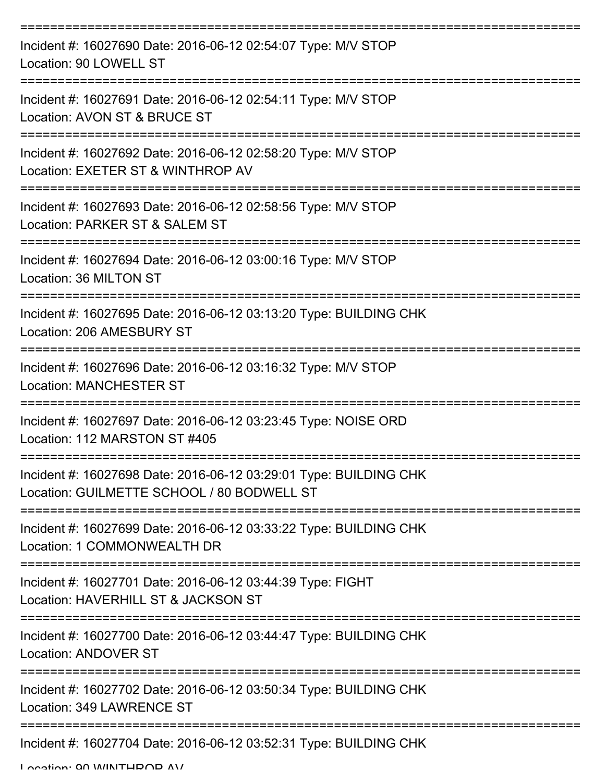| Incident #: 16027690 Date: 2016-06-12 02:54:07 Type: M/V STOP<br>Location: 90 LOWELL ST                         |
|-----------------------------------------------------------------------------------------------------------------|
| Incident #: 16027691 Date: 2016-06-12 02:54:11 Type: M/V STOP<br>Location: AVON ST & BRUCE ST                   |
| Incident #: 16027692 Date: 2016-06-12 02:58:20 Type: M/V STOP<br>Location: EXETER ST & WINTHROP AV              |
| Incident #: 16027693 Date: 2016-06-12 02:58:56 Type: M/V STOP<br>Location: PARKER ST & SALEM ST                 |
| Incident #: 16027694 Date: 2016-06-12 03:00:16 Type: M/V STOP<br>Location: 36 MILTON ST                         |
| Incident #: 16027695 Date: 2016-06-12 03:13:20 Type: BUILDING CHK<br>Location: 206 AMESBURY ST                  |
| Incident #: 16027696 Date: 2016-06-12 03:16:32 Type: M/V STOP<br><b>Location: MANCHESTER ST</b>                 |
| Incident #: 16027697 Date: 2016-06-12 03:23:45 Type: NOISE ORD<br>Location: 112 MARSTON ST #405                 |
| Incident #: 16027698 Date: 2016-06-12 03:29:01 Type: BUILDING CHK<br>Location: GUILMETTE SCHOOL / 80 BODWELL ST |
| Incident #: 16027699 Date: 2016-06-12 03:33:22 Type: BUILDING CHK<br>Location: 1 COMMONWEALTH DR                |
| Incident #: 16027701 Date: 2016-06-12 03:44:39 Type: FIGHT<br>Location: HAVERHILL ST & JACKSON ST               |
| Incident #: 16027700 Date: 2016-06-12 03:44:47 Type: BUILDING CHK<br><b>Location: ANDOVER ST</b>                |
| Incident #: 16027702 Date: 2016-06-12 03:50:34 Type: BUILDING CHK<br>Location: 349 LAWRENCE ST                  |
| Incident #: 16027704 Date: 2016-06-12 03:52:31 Type: BUILDING CHK                                               |

Location: 00 WINITHDOD AV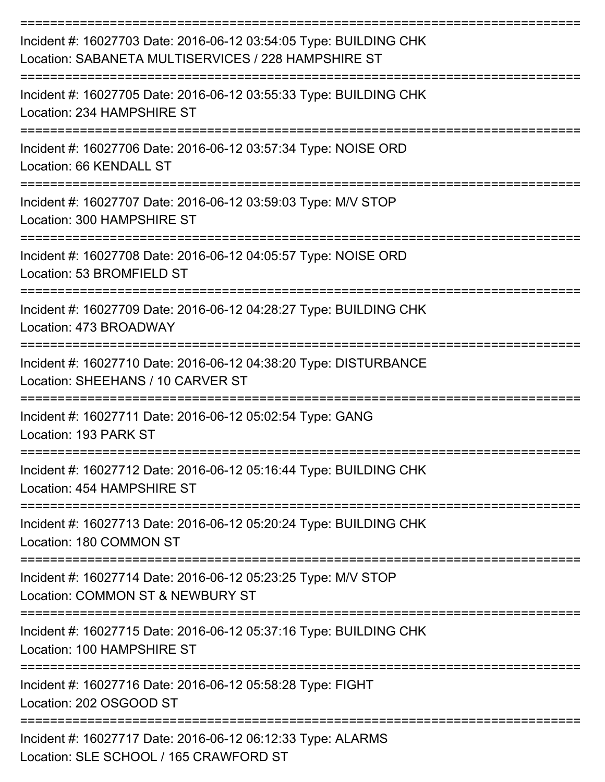| Incident #: 16027703 Date: 2016-06-12 03:54:05 Type: BUILDING CHK<br>Location: SABANETA MULTISERVICES / 228 HAMPSHIRE ST |
|--------------------------------------------------------------------------------------------------------------------------|
| Incident #: 16027705 Date: 2016-06-12 03:55:33 Type: BUILDING CHK<br>Location: 234 HAMPSHIRE ST                          |
| Incident #: 16027706 Date: 2016-06-12 03:57:34 Type: NOISE ORD<br>Location: 66 KENDALL ST                                |
| Incident #: 16027707 Date: 2016-06-12 03:59:03 Type: M/V STOP<br>Location: 300 HAMPSHIRE ST                              |
| Incident #: 16027708 Date: 2016-06-12 04:05:57 Type: NOISE ORD<br>Location: 53 BROMFIELD ST                              |
| Incident #: 16027709 Date: 2016-06-12 04:28:27 Type: BUILDING CHK<br>Location: 473 BROADWAY                              |
| Incident #: 16027710 Date: 2016-06-12 04:38:20 Type: DISTURBANCE<br>Location: SHEEHANS / 10 CARVER ST                    |
| Incident #: 16027711 Date: 2016-06-12 05:02:54 Type: GANG<br>Location: 193 PARK ST                                       |
| Incident #: 16027712 Date: 2016-06-12 05:16:44 Type: BUILDING CHK<br>Location: 454 HAMPSHIRE ST                          |
| Incident #: 16027713 Date: 2016-06-12 05:20:24 Type: BUILDING CHK<br>Location: 180 COMMON ST                             |
| Incident #: 16027714 Date: 2016-06-12 05:23:25 Type: M/V STOP<br>Location: COMMON ST & NEWBURY ST                        |
| Incident #: 16027715 Date: 2016-06-12 05:37:16 Type: BUILDING CHK<br>Location: 100 HAMPSHIRE ST                          |
| Incident #: 16027716 Date: 2016-06-12 05:58:28 Type: FIGHT<br>Location: 202 OSGOOD ST                                    |
| Incident #: 16027717 Date: 2016-06-12 06:12:33 Type: ALARMS<br>Location: SLE SCHOOL / 165 CRAWFORD ST                    |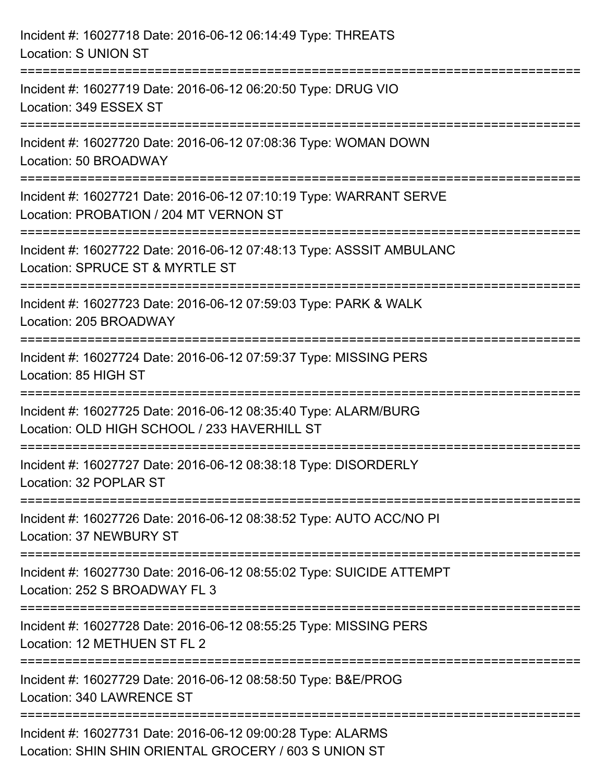| Incident #: 16027718 Date: 2016-06-12 06:14:49 Type: THREATS<br><b>Location: S UNION ST</b>                                                                      |
|------------------------------------------------------------------------------------------------------------------------------------------------------------------|
| ================================<br>Incident #: 16027719 Date: 2016-06-12 06:20:50 Type: DRUG VIO<br>Location: 349 ESSEX ST                                      |
| =================<br>Incident #: 16027720 Date: 2016-06-12 07:08:36 Type: WOMAN DOWN<br>Location: 50 BROADWAY                                                    |
| Incident #: 16027721 Date: 2016-06-12 07:10:19 Type: WARRANT SERVE<br>Location: PROBATION / 204 MT VERNON ST<br>:==============================                  |
| Incident #: 16027722 Date: 2016-06-12 07:48:13 Type: ASSSIT AMBULANC<br>Location: SPRUCE ST & MYRTLE ST                                                          |
| Incident #: 16027723 Date: 2016-06-12 07:59:03 Type: PARK & WALK<br>Location: 205 BROADWAY                                                                       |
| Incident #: 16027724 Date: 2016-06-12 07:59:37 Type: MISSING PERS<br>Location: 85 HIGH ST                                                                        |
| Incident #: 16027725 Date: 2016-06-12 08:35:40 Type: ALARM/BURG<br>Location: OLD HIGH SCHOOL / 233 HAVERHILL ST                                                  |
| Incident #: 16027727 Date: 2016-06-12 08:38:18 Type: DISORDERLY<br>Location: 32 POPLAR ST                                                                        |
| Incident #: 16027726 Date: 2016-06-12 08:38:52 Type: AUTO ACC/NO PI<br><b>Location: 37 NEWBURY ST</b>                                                            |
| Incident #: 16027730 Date: 2016-06-12 08:55:02 Type: SUICIDE ATTEMPT<br>Location: 252 S BROADWAY FL 3                                                            |
| --------------------<br>-----------------------------------<br>Incident #: 16027728 Date: 2016-06-12 08:55:25 Type: MISSING PERS<br>Location: 12 METHUEN ST FL 2 |
| Incident #: 16027729 Date: 2016-06-12 08:58:50 Type: B&E/PROG<br>Location: 340 LAWRENCE ST                                                                       |
| Incident #: 16027731 Date: 2016-06-12 09:00:28 Type: ALARMS<br>Location: SHIN SHIN ORIENTAL GROCERY / 603 S UNION ST                                             |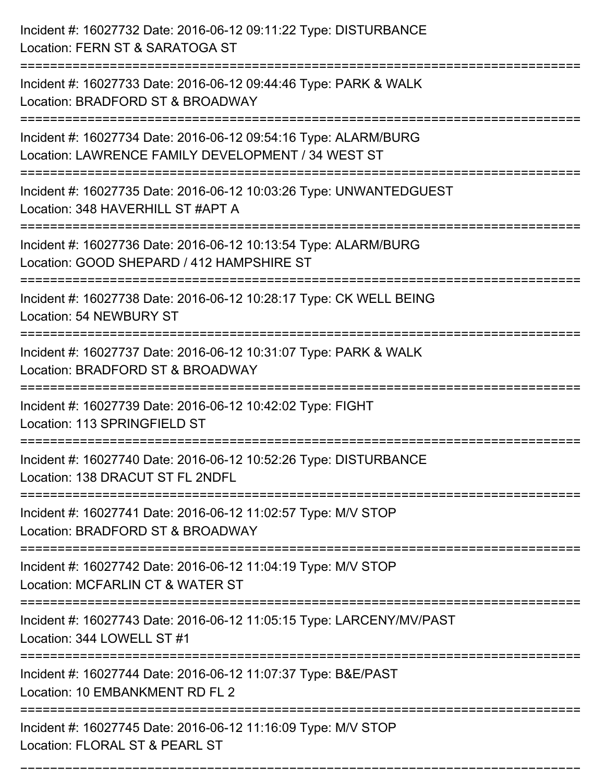| Incident #: 16027732 Date: 2016-06-12 09:11:22 Type: DISTURBANCE<br>Location: FERN ST & SARATOGA ST                              |
|----------------------------------------------------------------------------------------------------------------------------------|
| Incident #: 16027733 Date: 2016-06-12 09:44:46 Type: PARK & WALK<br>Location: BRADFORD ST & BROADWAY                             |
| Incident #: 16027734 Date: 2016-06-12 09:54:16 Type: ALARM/BURG<br>Location: LAWRENCE FAMILY DEVELOPMENT / 34 WEST ST            |
| Incident #: 16027735 Date: 2016-06-12 10:03:26 Type: UNWANTEDGUEST<br>Location: 348 HAVERHILL ST #APT A                          |
| Incident #: 16027736 Date: 2016-06-12 10:13:54 Type: ALARM/BURG<br>Location: GOOD SHEPARD / 412 HAMPSHIRE ST<br>================ |
| Incident #: 16027738 Date: 2016-06-12 10:28:17 Type: CK WELL BEING<br>Location: 54 NEWBURY ST                                    |
| Incident #: 16027737 Date: 2016-06-12 10:31:07 Type: PARK & WALK<br>Location: BRADFORD ST & BROADWAY<br>===============          |
| Incident #: 16027739 Date: 2016-06-12 10:42:02 Type: FIGHT<br>Location: 113 SPRINGFIELD ST                                       |
| Incident #: 16027740 Date: 2016-06-12 10:52:26 Type: DISTURBANCE<br>Location: 138 DRACUT ST FL 2NDFL                             |
| Incident #: 16027741 Date: 2016-06-12 11:02:57 Type: M/V STOP<br>Location: BRADFORD ST & BROADWAY                                |
| Incident #: 16027742 Date: 2016-06-12 11:04:19 Type: M/V STOP<br>Location: MCFARLIN CT & WATER ST                                |
| Incident #: 16027743 Date: 2016-06-12 11:05:15 Type: LARCENY/MV/PAST<br>Location: 344 LOWELL ST #1                               |
| Incident #: 16027744 Date: 2016-06-12 11:07:37 Type: B&E/PAST<br>Location: 10 EMBANKMENT RD FL 2                                 |
| Incident #: 16027745 Date: 2016-06-12 11:16:09 Type: M/V STOP<br>Location: FLORAL ST & PEARL ST                                  |

===========================================================================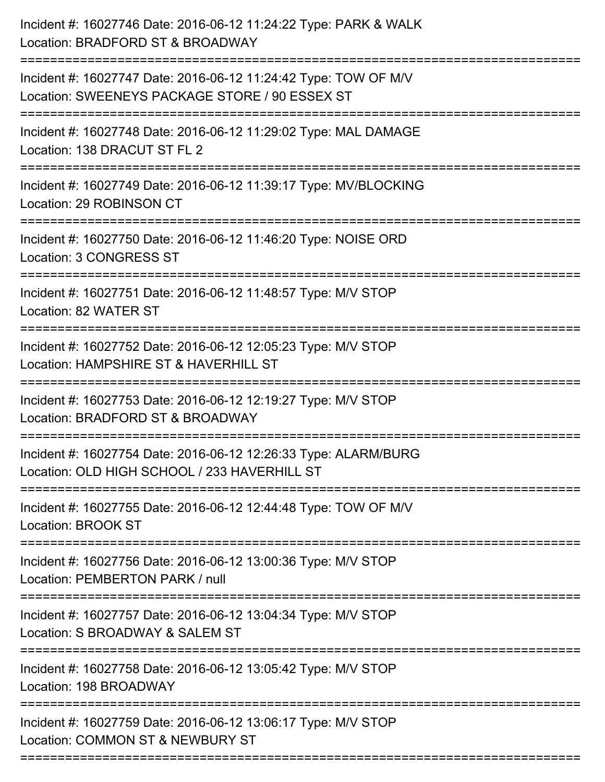| Incident #: 16027746 Date: 2016-06-12 11:24:22 Type: PARK & WALK<br>Location: BRADFORD ST & BROADWAY<br>-------------------            |
|----------------------------------------------------------------------------------------------------------------------------------------|
| Incident #: 16027747 Date: 2016-06-12 11:24:42 Type: TOW OF M/V<br>Location: SWEENEYS PACKAGE STORE / 90 ESSEX ST                      |
| Incident #: 16027748 Date: 2016-06-12 11:29:02 Type: MAL DAMAGE<br>Location: 138 DRACUT ST FL 2                                        |
| Incident #: 16027749 Date: 2016-06-12 11:39:17 Type: MV/BLOCKING<br>Location: 29 ROBINSON CT                                           |
| Incident #: 16027750 Date: 2016-06-12 11:46:20 Type: NOISE ORD<br>Location: 3 CONGRESS ST                                              |
| Incident #: 16027751 Date: 2016-06-12 11:48:57 Type: M/V STOP<br>Location: 82 WATER ST                                                 |
| Incident #: 16027752 Date: 2016-06-12 12:05:23 Type: M/V STOP<br>Location: HAMPSHIRE ST & HAVERHILL ST                                 |
| Incident #: 16027753 Date: 2016-06-12 12:19:27 Type: M/V STOP<br>Location: BRADFORD ST & BROADWAY                                      |
| Incident #: 16027754 Date: 2016-06-12 12:26:33 Type: ALARM/BURG<br>Location: OLD HIGH SCHOOL / 233 HAVERHILL ST                        |
| Incident #: 16027755 Date: 2016-06-12 12:44:48 Type: TOW OF M/V<br>Location: BROOK ST                                                  |
| ==================================<br>Incident #: 16027756 Date: 2016-06-12 13:00:36 Type: M/V STOP<br>Location: PEMBERTON PARK / null |
| Incident #: 16027757 Date: 2016-06-12 13:04:34 Type: M/V STOP<br>Location: S BROADWAY & SALEM ST                                       |
| Incident #: 16027758 Date: 2016-06-12 13:05:42 Type: M/V STOP<br>Location: 198 BROADWAY                                                |
| Incident #: 16027759 Date: 2016-06-12 13:06:17 Type: M/V STOP<br>Location: COMMON ST & NEWBURY ST                                      |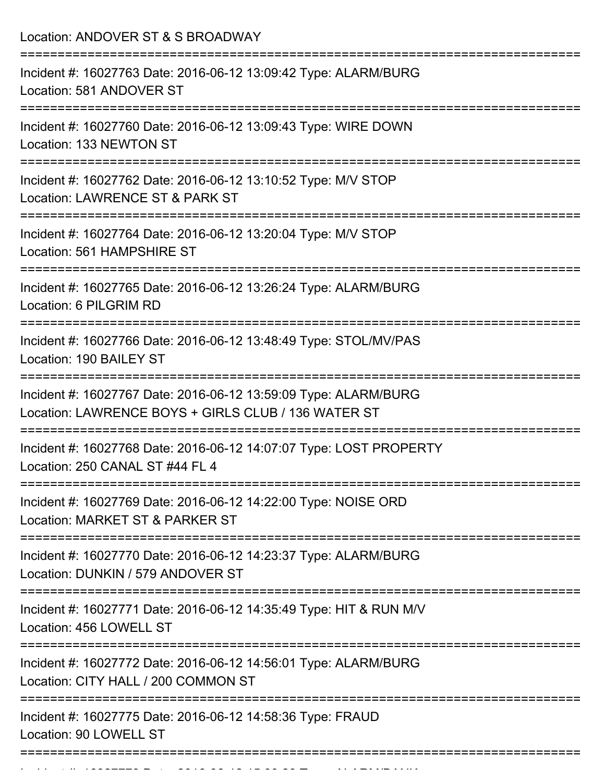Location: ANDOVER ST & S BROADWAY =========================================================================== Incident #: 16027763 Date: 2016-06-12 13:09:42 Type: ALARM/BURG Location: 581 ANDOVER ST =========================================================================== Incident #: 16027760 Date: 2016-06-12 13:09:43 Type: WIRE DOWN Location: 133 NEWTON ST =========================================================================== Incident #: 16027762 Date: 2016-06-12 13:10:52 Type: M/V STOP Location: LAWRENCE ST & PARK ST =========================================================================== Incident #: 16027764 Date: 2016-06-12 13:20:04 Type: M/V STOP Location: 561 HAMPSHIRE ST =========================================================================== Incident #: 16027765 Date: 2016-06-12 13:26:24 Type: ALARM/BURG Location: 6 PILGRIM RD =========================================================================== Incident #: 16027766 Date: 2016-06-12 13:48:49 Type: STOL/MV/PAS Location: 190 BAILEY ST =========================================================================== Incident #: 16027767 Date: 2016-06-12 13:59:09 Type: ALARM/BURG Location: LAWRENCE BOYS + GIRLS CLUB / 136 WATER ST =========================================================================== Incident #: 16027768 Date: 2016-06-12 14:07:07 Type: LOST PROPERTY Location: 250 CANAL ST #44 FL 4 =========================================================================== Incident #: 16027769 Date: 2016-06-12 14:22:00 Type: NOISE ORD Location: MARKET ST & PARKER ST =========================================================================== Incident #: 16027770 Date: 2016-06-12 14:23:37 Type: ALARM/BURG Location: DUNKIN / 579 ANDOVER ST =========================================================================== Incident #: 16027771 Date: 2016-06-12 14:35:49 Type: HIT & RUN M/V Location: 456 LOWELL ST =========================================================================== Incident #: 16027772 Date: 2016-06-12 14:56:01 Type: ALARM/BURG Location: CITY HALL / 200 COMMON ST =========================================================================== Incident #: 16027775 Date: 2016-06-12 14:58:36 Type: FRAUD Location: 90 LOWELL ST ===========================================================================

Incident #: 16027773 Date: 2016 06 12 15:00:20 Type: ALARM/BANK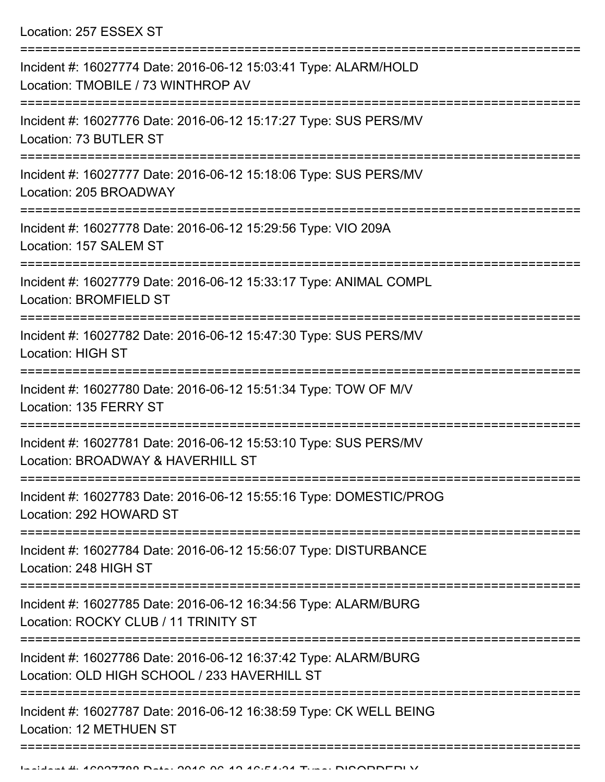Location: 257 ESSEX ST

| Incident #: 16027774 Date: 2016-06-12 15:03:41 Type: ALARM/HOLD<br>Location: TMOBILE / 73 WINTHROP AV                        |
|------------------------------------------------------------------------------------------------------------------------------|
| Incident #: 16027776 Date: 2016-06-12 15:17:27 Type: SUS PERS/MV<br>Location: 73 BUTLER ST                                   |
| Incident #: 16027777 Date: 2016-06-12 15:18:06 Type: SUS PERS/MV<br>Location: 205 BROADWAY                                   |
| Incident #: 16027778 Date: 2016-06-12 15:29:56 Type: VIO 209A<br>Location: 157 SALEM ST                                      |
| Incident #: 16027779 Date: 2016-06-12 15:33:17 Type: ANIMAL COMPL<br><b>Location: BROMFIELD ST</b>                           |
| Incident #: 16027782 Date: 2016-06-12 15:47:30 Type: SUS PERS/MV<br>Location: HIGH ST                                        |
| -------------------------------<br>Incident #: 16027780 Date: 2016-06-12 15:51:34 Type: TOW OF M/V<br>Location: 135 FERRY ST |
| Incident #: 16027781 Date: 2016-06-12 15:53:10 Type: SUS PERS/MV<br>Location: BROADWAY & HAVERHILL ST                        |
| Incident #: 16027783 Date: 2016-06-12 15:55:16 Type: DOMESTIC/PROG<br>Location: 292 HOWARD ST                                |
| Incident #: 16027784 Date: 2016-06-12 15:56:07 Type: DISTURBANCE<br>Location: 248 HIGH ST                                    |
| Incident #: 16027785 Date: 2016-06-12 16:34:56 Type: ALARM/BURG<br>Location: ROCKY CLUB / 11 TRINITY ST                      |
| Incident #: 16027786 Date: 2016-06-12 16:37:42 Type: ALARM/BURG<br>Location: OLD HIGH SCHOOL / 233 HAVERHILL ST              |
| Incident #: 16027787 Date: 2016-06-12 16:38:59 Type: CK WELL BEING<br>Location: 12 METHUEN ST                                |
|                                                                                                                              |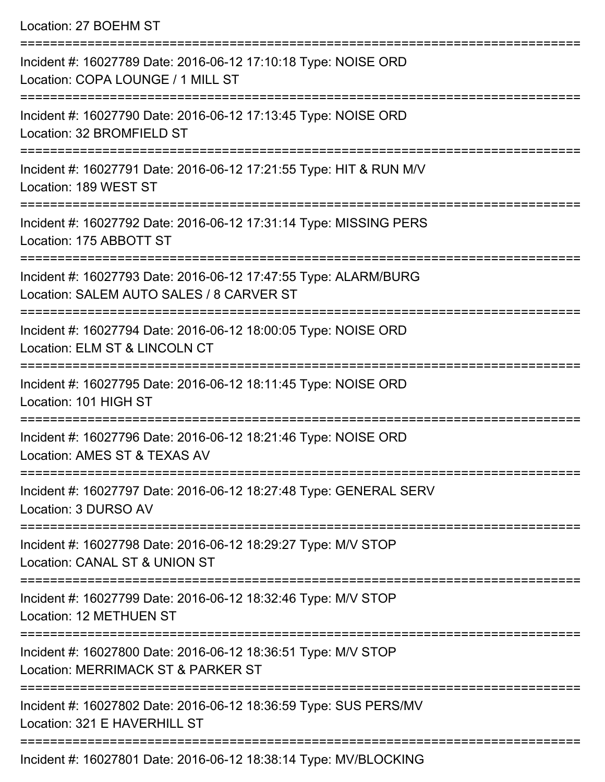Location: 27 BOEHM ST

=========================================================================== Incident #: 16027789 Date: 2016-06-12 17:10:18 Type: NOISE ORD Location: COPA LOUNGE / 1 MILL ST =========================================================================== Incident #: 16027790 Date: 2016-06-12 17:13:45 Type: NOISE ORD Location: 32 BROMFIELD ST =========================================================================== Incident #: 16027791 Date: 2016-06-12 17:21:55 Type: HIT & RUN M/V Location: 189 WEST ST =========================================================================== Incident #: 16027792 Date: 2016-06-12 17:31:14 Type: MISSING PERS Location: 175 ABBOTT ST =========================================================================== Incident #: 16027793 Date: 2016-06-12 17:47:55 Type: ALARM/BURG Location: SALEM AUTO SALES / 8 CARVER ST =========================================================================== Incident #: 16027794 Date: 2016-06-12 18:00:05 Type: NOISE ORD Location: ELM ST & LINCOLN CT =========================================================================== Incident #: 16027795 Date: 2016-06-12 18:11:45 Type: NOISE ORD Location: 101 HIGH ST =========================================================================== Incident #: 16027796 Date: 2016-06-12 18:21:46 Type: NOISE ORD Location: AMES ST & TEXAS AV =========================================================================== Incident #: 16027797 Date: 2016-06-12 18:27:48 Type: GENERAL SERV Location: 3 DURSO AV =========================================================================== Incident #: 16027798 Date: 2016-06-12 18:29:27 Type: M/V STOP Location: CANAL ST & UNION ST =========================================================================== Incident #: 16027799 Date: 2016-06-12 18:32:46 Type: M/V STOP Location: 12 METHUEN ST =========================================================================== Incident #: 16027800 Date: 2016-06-12 18:36:51 Type: M/V STOP Location: MERRIMACK ST & PARKER ST =========================================================================== Incident #: 16027802 Date: 2016-06-12 18:36:59 Type: SUS PERS/MV Location: 321 F HAVERHILL ST =========================================================================== Incident #: 16027801 Date: 2016-06-12 18:38:14 Type: MV/BLOCKING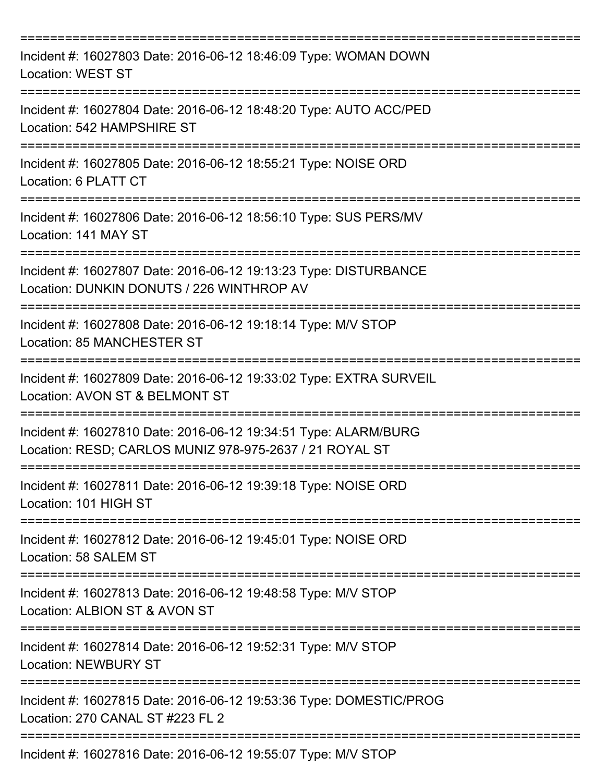| Incident #: 16027803 Date: 2016-06-12 18:46:09 Type: WOMAN DOWN<br><b>Location: WEST ST</b>                                |
|----------------------------------------------------------------------------------------------------------------------------|
| Incident #: 16027804 Date: 2016-06-12 18:48:20 Type: AUTO ACC/PED<br>Location: 542 HAMPSHIRE ST                            |
| Incident #: 16027805 Date: 2016-06-12 18:55:21 Type: NOISE ORD<br>Location: 6 PLATT CT                                     |
| Incident #: 16027806 Date: 2016-06-12 18:56:10 Type: SUS PERS/MV<br>Location: 141 MAY ST                                   |
| Incident #: 16027807 Date: 2016-06-12 19:13:23 Type: DISTURBANCE<br>Location: DUNKIN DONUTS / 226 WINTHROP AV              |
| Incident #: 16027808 Date: 2016-06-12 19:18:14 Type: M/V STOP<br>Location: 85 MANCHESTER ST                                |
| Incident #: 16027809 Date: 2016-06-12 19:33:02 Type: EXTRA SURVEIL<br>Location: AVON ST & BELMONT ST                       |
| Incident #: 16027810 Date: 2016-06-12 19:34:51 Type: ALARM/BURG<br>Location: RESD; CARLOS MUNIZ 978-975-2637 / 21 ROYAL ST |
| Incident #: 16027811 Date: 2016-06-12 19:39:18 Type: NOISE ORD<br>Location: 101 HIGH ST                                    |
| Incident #: 16027812 Date: 2016-06-12 19:45:01 Type: NOISE ORD<br>Location: 58 SALEM ST                                    |
| Incident #: 16027813 Date: 2016-06-12 19:48:58 Type: M/V STOP<br>Location: ALBION ST & AVON ST                             |
| Incident #: 16027814 Date: 2016-06-12 19:52:31 Type: M/V STOP<br><b>Location: NEWBURY ST</b>                               |
| Incident #: 16027815 Date: 2016-06-12 19:53:36 Type: DOMESTIC/PROG<br>Location: 270 CANAL ST #223 FL 2                     |
| =================<br>Incident #: 16027816 Date: 2016-06-12 19:55:07 Type: M/V STOP                                         |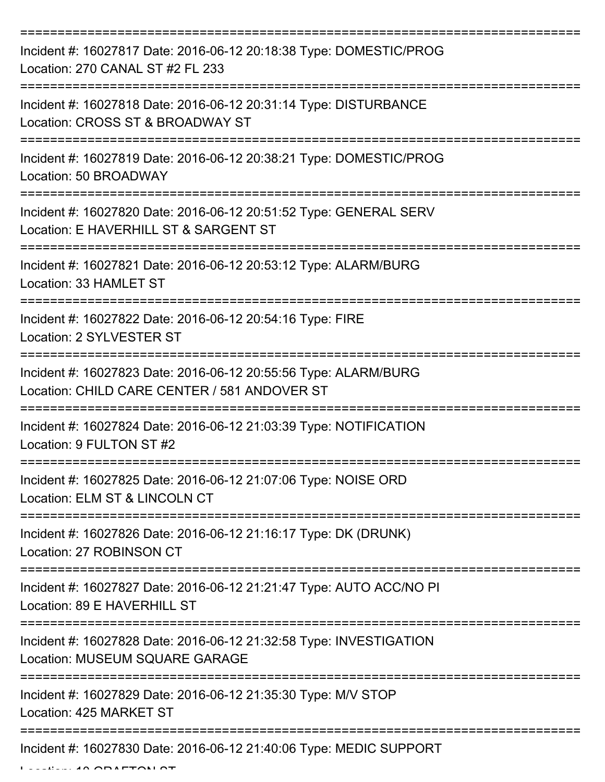| Incident #: 16027817 Date: 2016-06-12 20:18:38 Type: DOMESTIC/PROG<br>Location: 270 CANAL ST #2 FL 233          |
|-----------------------------------------------------------------------------------------------------------------|
| Incident #: 16027818 Date: 2016-06-12 20:31:14 Type: DISTURBANCE<br>Location: CROSS ST & BROADWAY ST            |
| Incident #: 16027819 Date: 2016-06-12 20:38:21 Type: DOMESTIC/PROG<br>Location: 50 BROADWAY                     |
| Incident #: 16027820 Date: 2016-06-12 20:51:52 Type: GENERAL SERV<br>Location: E HAVERHILL ST & SARGENT ST      |
| Incident #: 16027821 Date: 2016-06-12 20:53:12 Type: ALARM/BURG<br>Location: 33 HAMLET ST                       |
| Incident #: 16027822 Date: 2016-06-12 20:54:16 Type: FIRE<br>Location: 2 SYLVESTER ST                           |
| Incident #: 16027823 Date: 2016-06-12 20:55:56 Type: ALARM/BURG<br>Location: CHILD CARE CENTER / 581 ANDOVER ST |
| Incident #: 16027824 Date: 2016-06-12 21:03:39 Type: NOTIFICATION<br>Location: 9 FULTON ST #2                   |
| Incident #: 16027825 Date: 2016-06-12 21:07:06 Type: NOISE ORD<br>Location: ELM ST & LINCOLN CT                 |
| Incident #: 16027826 Date: 2016-06-12 21:16:17 Type: DK (DRUNK)<br>Location: 27 ROBINSON CT                     |
| Incident #: 16027827 Date: 2016-06-12 21:21:47 Type: AUTO ACC/NO PI<br>Location: 89 E HAVERHILL ST              |
| Incident #: 16027828 Date: 2016-06-12 21:32:58 Type: INVESTIGATION<br><b>Location: MUSEUM SQUARE GARAGE</b>     |
| Incident #: 16027829 Date: 2016-06-12 21:35:30 Type: M/V STOP<br>Location: 425 MARKET ST                        |
| Incident #: 16027830 Date: 2016-06-12 21:40:06 Type: MEDIC SUPPORT                                              |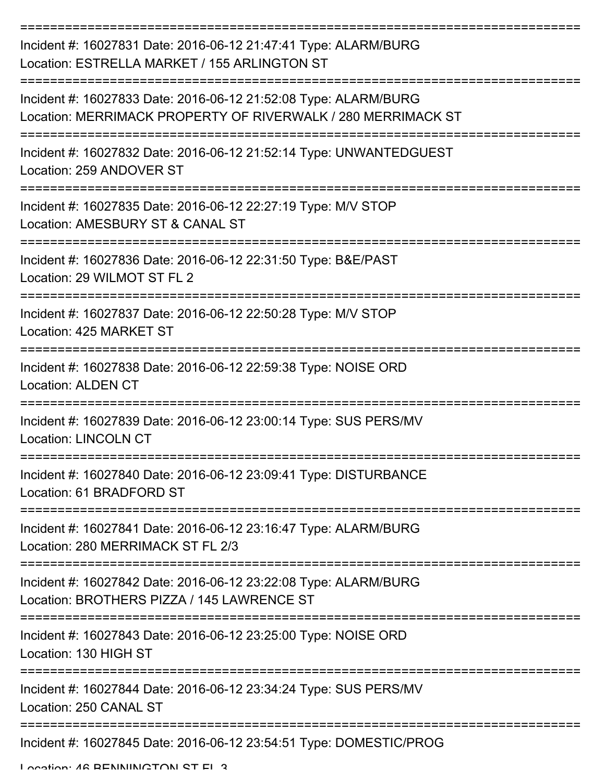| Incident #: 16027831 Date: 2016-06-12 21:47:41 Type: ALARM/BURG<br>Location: ESTRELLA MARKET / 155 ARLINGTON ST                 |
|---------------------------------------------------------------------------------------------------------------------------------|
| Incident #: 16027833 Date: 2016-06-12 21:52:08 Type: ALARM/BURG<br>Location: MERRIMACK PROPERTY OF RIVERWALK / 280 MERRIMACK ST |
| Incident #: 16027832 Date: 2016-06-12 21:52:14 Type: UNWANTEDGUEST<br>Location: 259 ANDOVER ST                                  |
| Incident #: 16027835 Date: 2016-06-12 22:27:19 Type: M/V STOP<br>Location: AMESBURY ST & CANAL ST                               |
| Incident #: 16027836 Date: 2016-06-12 22:31:50 Type: B&E/PAST<br>Location: 29 WILMOT ST FL 2                                    |
| Incident #: 16027837 Date: 2016-06-12 22:50:28 Type: M/V STOP<br>Location: 425 MARKET ST                                        |
| Incident #: 16027838 Date: 2016-06-12 22:59:38 Type: NOISE ORD<br><b>Location: ALDEN CT</b>                                     |
| Incident #: 16027839 Date: 2016-06-12 23:00:14 Type: SUS PERS/MV<br><b>Location: LINCOLN CT</b>                                 |
| Incident #: 16027840 Date: 2016-06-12 23:09:41 Type: DISTURBANCE<br>Location: 61 BRADFORD ST                                    |
| -------------<br>Incident #: 16027841 Date: 2016-06-12 23:16:47 Type: ALARM/BURG<br>Location: 280 MERRIMACK ST FL 2/3           |
| Incident #: 16027842 Date: 2016-06-12 23:22:08 Type: ALARM/BURG<br>Location: BROTHERS PIZZA / 145 LAWRENCE ST                   |
| Incident #: 16027843 Date: 2016-06-12 23:25:00 Type: NOISE ORD<br>Location: 130 HIGH ST                                         |
| Incident #: 16027844 Date: 2016-06-12 23:34:24 Type: SUS PERS/MV<br>Location: 250 CANAL ST                                      |
| Incident #: 16027845 Date: 2016-06-12 23:54:51 Type: DOMESTIC/PROG                                                              |

Location: 46 BENNINGTON ST FL 3